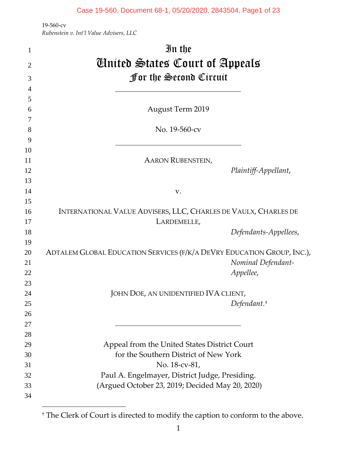| $\mathbf{1}$   | In the                                                                 |                       |
|----------------|------------------------------------------------------------------------|-----------------------|
| $\overline{2}$ | <b><i>C</i></b> Mitted States Court of Appeals                         |                       |
| 3              | <b>for the Second Circuit</b>                                          |                       |
| $\overline{4}$ |                                                                        |                       |
| 5              |                                                                        |                       |
| 6              | <b>August Term 2019</b>                                                |                       |
| 7              |                                                                        |                       |
| 8              | No. 19-560-cv                                                          |                       |
| 9              |                                                                        |                       |
| 10             |                                                                        |                       |
| 11             | <b>AARON RUBENSTEIN,</b>                                               |                       |
| 12             |                                                                        | Plaintiff-Appellant,  |
| 13             |                                                                        |                       |
| 14             | V.                                                                     |                       |
| 15             |                                                                        |                       |
| 16             | INTERNATIONAL VALUE ADVISERS, LLC, CHARLES DE VAULX, CHARLES DE        |                       |
| 17             | LARDEMELLE,                                                            |                       |
| 18             |                                                                        | Defendants-Appellees, |
| 19             |                                                                        |                       |
| 20             | ADTALEM GLOBAL EDUCATION SERVICES (F/K/A DEVRY EDUCATION GROUP, INC.), |                       |
| 21             |                                                                        | Nominal Defendant-    |
| 22<br>23       |                                                                        | Appellee,             |
| 24             | JOHN DOE, AN UNIDENTIFIED IVA CLIENT,                                  |                       |
| 25             |                                                                        | $Defendant.*$         |
| 26             |                                                                        |                       |
| 27             |                                                                        |                       |
| 28             |                                                                        |                       |
| 29             | Appeal from the United States District Court                           |                       |
| 30             | for the Southern District of New York                                  |                       |
| 31             | No. 18-cv-81,                                                          |                       |
| 32             | Paul A. Engelmayer, District Judge, Presiding.                         |                       |
| 33             | (Argued October 23, 2019; Decided May 20, 2020)                        |                       |
| 34             |                                                                        |                       |
|                |                                                                        |                       |

<span id="page-0-0"></span><sup>†</sup> The Clerk of Court is directed to modify the caption to conform to the above.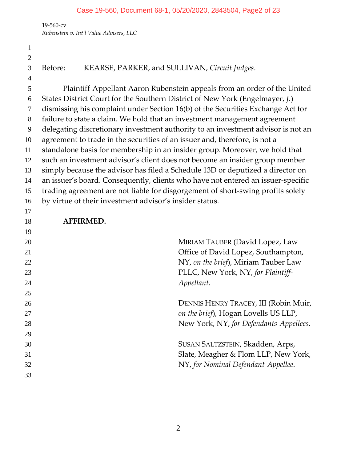*Rubenstein v. Int'l Value Advisers, LLC*

 Before: KEARSE, PARKER, and SULLIVAN, *Circuit Judges*. Plaintiff-Appellant Aaron Rubenstein appeals from an order of the United States District Court for the Southern District of New York (Engelmayer, *J.*) dismissing his complaint under Section 16(b) of the Securities Exchange Act for failure to state a claim. We hold that an investment management agreement delegating discretionary investment authority to an investment advisor is not an agreement to trade in the securities of an issuer and, therefore, is not a standalone basis for membership in an insider group. Moreover, we hold that such an investment advisor's client does not become an insider group member simply because the advisor has filed a Schedule 13D or deputized a director on an issuer's board. Consequently, clients who have not entered an issuer-specific trading agreement are not liable for disgorgement of short-swing profits solely by virtue of their investment advisor's insider status. **AFFIRMED.** 20 MIRIAM TAUBER (David Lopez, Law Office of David Lopez, Southampton, NY, *on the brief*), Miriam Tauber Law PLLC, New York, NY, *for Plaintiff- Appellant*. DENNIS HENRY TRACEY, III (Robin Muir, *on the brief*), Hogan Lovells US LLP, New York, NY, *for Defendants-Appellees*. SUSAN SALTZSTEIN, Skadden, Arps, Slate, Meagher & Flom LLP, New York, NY, *for Nominal Defendant-Appellee*.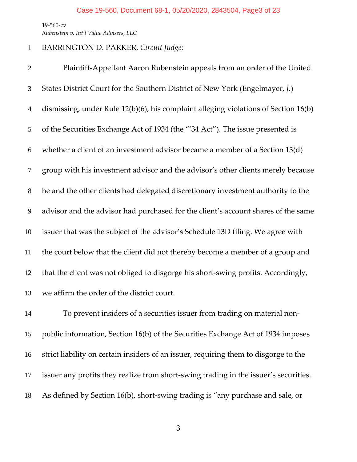## BARRINGTON D. PARKER, *Circuit Judge*:

 Plaintiff-Appellant Aaron Rubenstein appeals from an order of the United States District Court for the Southern District of New York (Engelmayer, *J.*) dismissing, under Rule 12(b)(6), his complaint alleging violations of Section 16(b) of the Securities Exchange Act of 1934 (the "'34 Act"). The issue presented is whether a client of an investment advisor became a member of a Section 13(d) group with his investment advisor and the advisor's other clients merely because he and the other clients had delegated discretionary investment authority to the advisor and the advisor had purchased for the client's account shares of the same issuer that was the subject of the advisor's Schedule 13D filing. We agree with the court below that the client did not thereby become a member of a group and that the client was not obliged to disgorge his short-swing profits. Accordingly, we affirm the order of the district court.

 To prevent insiders of a securities issuer from trading on material non- public information, Section 16(b) of the Securities Exchange Act of 1934 imposes strict liability on certain insiders of an issuer, requiring them to disgorge to the issuer any profits they realize from short-swing trading in the issuer's securities. As defined by Section 16(b), short-swing trading is "any purchase and sale, or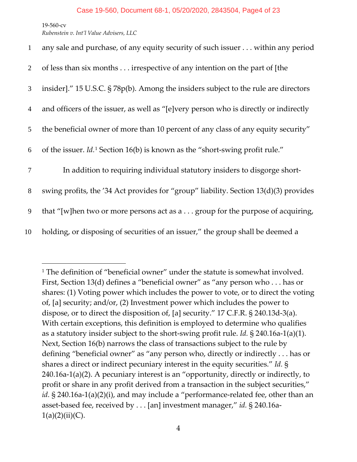| $\mathbf{1}$   | any sale and purchase, of any equity security of such issuer within any period              |
|----------------|---------------------------------------------------------------------------------------------|
| $\overline{2}$ | of less than six months irrespective of any intention on the part of [the                   |
| 3              | insider]." 15 U.S.C. § 78p(b). Among the insiders subject to the rule are directors         |
| $\overline{4}$ | and officers of the issuer, as well as "[e]very person who is directly or indirectly        |
| 5 <sup>5</sup> | the beneficial owner of more than 10 percent of any class of any equity security"           |
| 6              | of the issuer. $Id$ . <sup>1</sup> Section 16(b) is known as the "short-swing profit rule." |
| 7              | In addition to requiring individual statutory insiders to disgorge short-                   |
| 8              | swing profits, the '34 Act provides for "group" liability. Section 13(d)(3) provides        |
| 9              | that "[w]hen two or more persons act as a group for the purpose of acquiring,               |
| 10             | holding, or disposing of securities of an issuer," the group shall be deemed a              |

<span id="page-3-0"></span><sup>&</sup>lt;sup>1</sup> The definition of "beneficial owner" under the statute is somewhat involved. First, Section 13(d) defines a "beneficial owner" as "any person who . . . has or shares: (1) Voting power which includes the power to vote, or to direct the voting of, [a] security; and/or, (2) Investment power which includes the power to dispose, or to direct the disposition of, [a] security." 17 C.F.R. § 240.13d-3(a). With certain exceptions, this definition is employed to determine who qualifies as a statutory insider subject to the short-swing profit rule. *Id.* § 240.16a-1(a)(1). Next, Section 16(b) narrows the class of transactions subject to the rule by defining "beneficial owner" as "any person who, directly or indirectly . . . has or shares a direct or indirect pecuniary interest in the equity securities." *Id.* § 240.16a-1(a)(2). A pecuniary interest is an "opportunity, directly or indirectly, to profit or share in any profit derived from a transaction in the subject securities," id. § 240.16a-1(a)(2)(i), and may include a "performance-related fee, other than an asset-based fee, received by . . . [an] investment manager," *id.* § 240.16a- $1(a)(2)(ii)(C)$ .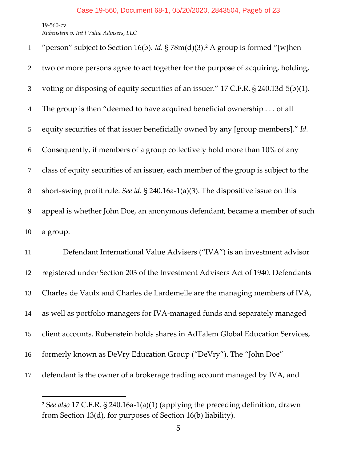| $\mathbf{1}$   | "person" subject to Section 16(b). Id. § 78m(d)(3). <sup>2</sup> A group is formed "[w]hen |
|----------------|--------------------------------------------------------------------------------------------|
| 2              | two or more persons agree to act together for the purpose of acquiring, holding,           |
| 3              | voting or disposing of equity securities of an issuer." 17 C.F.R. § 240.13d-5(b)(1).       |
| $\overline{4}$ | The group is then "deemed to have acquired beneficial ownership of all                     |
| 5              | equity securities of that issuer beneficially owned by any [group members]." Id.           |
| 6              | Consequently, if members of a group collectively hold more than 10% of any                 |
| 7              | class of equity securities of an issuer, each member of the group is subject to the        |
| 8              | short-swing profit rule. See id. $\S$ 240.16a-1(a)(3). The dispositive issue on this       |
| 9              | appeal is whether John Doe, an anonymous defendant, became a member of such                |
| 10             | a group.                                                                                   |
| 11             | Defendant International Value Advisers ("IVA") is an investment advisor                    |
| 12             | registered under Section 203 of the Investment Advisers Act of 1940. Defendants            |
| 13             | Charles de Vaulx and Charles de Lardemelle are the managing members of IVA,                |
| 14             | as well as portfolio managers for IVA-managed funds and separately managed                 |
| 15             | client accounts. Rubenstein holds shares in AdTalem Global Education Services,             |
| 16             | formerly known as DeVry Education Group ("DeVry"). The "John Doe"                          |
| 17             | defendant is the owner of a brokerage trading account managed by IVA, and                  |

<span id="page-4-0"></span> S*ee also* 17 C.F.R. § 240.16a-1(a)(1) (applying the preceding definition, drawn from Section 13(d), for purposes of Section 16(b) liability).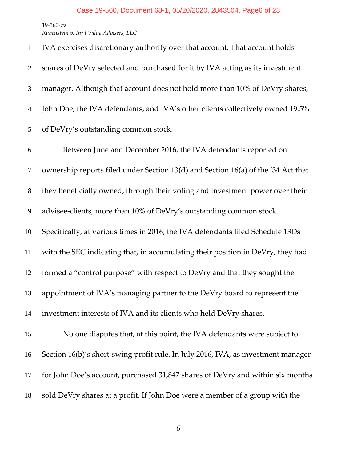| $\mathbf{1}$   | IVA exercises discretionary authority over that account. That account holds       |
|----------------|-----------------------------------------------------------------------------------|
| $\overline{2}$ | shares of DeVry selected and purchased for it by IVA acting as its investment     |
| 3              | manager. Although that account does not hold more than 10% of DeVry shares,       |
| 4              | John Doe, the IVA defendants, and IVA's other clients collectively owned 19.5%    |
| 5              | of DeVry's outstanding common stock.                                              |
| 6              | Between June and December 2016, the IVA defendants reported on                    |
| $\overline{7}$ | ownership reports filed under Section 13(d) and Section 16(a) of the '34 Act that |
| $8\phantom{1}$ | they beneficially owned, through their voting and investment power over their     |
| 9              | advisee-clients, more than 10% of DeVry's outstanding common stock.               |
| 10             | Specifically, at various times in 2016, the IVA defendants filed Schedule 13Ds    |
| 11             | with the SEC indicating that, in accumulating their position in DeVry, they had   |
| 12             | formed a "control purpose" with respect to DeVry and that they sought the         |
| 13             | appointment of IVA's managing partner to the DeVry board to represent the         |
| 14             | investment interests of IVA and its clients who held DeVry shares.                |
| 15             | No one disputes that, at this point, the IVA defendants were subject to           |
| 16             | Section 16(b)'s short-swing profit rule. In July 2016, IVA, as investment manager |
| 17             | for John Doe's account, purchased 31,847 shares of DeVry and within six months    |
| 18             | sold DeVry shares at a profit. If John Doe were a member of a group with the      |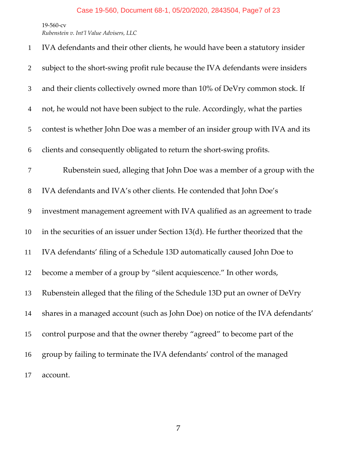| $\mathbf{1}$   | IVA defendants and their other clients, he would have been a statutory insider    |
|----------------|-----------------------------------------------------------------------------------|
| $\overline{2}$ | subject to the short-swing profit rule because the IVA defendants were insiders   |
| 3              | and their clients collectively owned more than 10% of DeVry common stock. If      |
| $\overline{4}$ | not, he would not have been subject to the rule. Accordingly, what the parties    |
| 5              | contest is whether John Doe was a member of an insider group with IVA and its     |
| 6              | clients and consequently obligated to return the short-swing profits.             |
| $\tau$         | Rubenstein sued, alleging that John Doe was a member of a group with the          |
| $8\,$          | IVA defendants and IVA's other clients. He contended that John Doe's              |
| 9              | investment management agreement with IVA qualified as an agreement to trade       |
| 10             | in the securities of an issuer under Section 13(d). He further theorized that the |
| 11             | IVA defendants' filing of a Schedule 13D automatically caused John Doe to         |
| 12             | become a member of a group by "silent acquiescence." In other words,              |
| 13             | Rubenstein alleged that the filing of the Schedule 13D put an owner of DeVry      |
| 14             | shares in a managed account (such as John Doe) on notice of the IVA defendants'   |
| 15             | control purpose and that the owner thereby "agreed" to become part of the         |
| 16             | group by failing to terminate the IVA defendants' control of the managed          |
| 17             | account.                                                                          |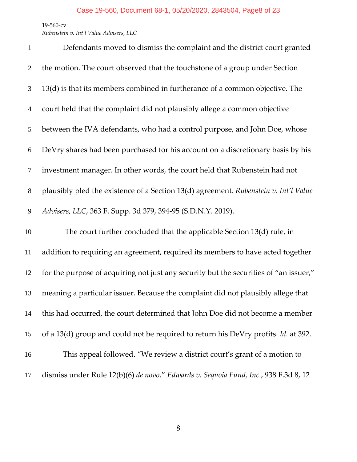*Rubenstein v. Int'l Value Advisers, LLC*

| $\mathbf{1}$   | Defendants moved to dismiss the complaint and the district court granted                   |
|----------------|--------------------------------------------------------------------------------------------|
| $\overline{2}$ | the motion. The court observed that the touchstone of a group under Section                |
| 3              | 13(d) is that its members combined in furtherance of a common objective. The               |
| $\overline{4}$ | court held that the complaint did not plausibly allege a common objective                  |
| 5              | between the IVA defendants, who had a control purpose, and John Doe, whose                 |
| 6              | DeVry shares had been purchased for his account on a discretionary basis by his            |
| 7              | investment manager. In other words, the court held that Rubenstein had not                 |
| 8              | plausibly pled the existence of a Section 13(d) agreement. Rubenstein v. Int'l Value       |
| 9              | Advisers, LLC, 363 F. Supp. 3d 379, 394-95 (S.D.N.Y. 2019).                                |
| 10             | The court further concluded that the applicable Section 13(d) rule, in                     |
| 11             | addition to requiring an agreement, required its members to have acted together            |
| 12             | for the purpose of acquiring not just any security but the securities of "an issuer,"      |
| 13             | meaning a particular issuer. Because the complaint did not plausibly allege that           |
| 14             | this had occurred, the court determined that John Doe did not become a member              |
| 15             | of a 13(d) group and could not be required to return his DeVry profits. <i>Id.</i> at 392. |
| 16             | This appeal followed. "We review a district court's grant of a motion to                   |
| 17             | dismiss under Rule 12(b)(6) de novo." Edwards v. Sequoia Fund, Inc., 938 F.3d 8, 12        |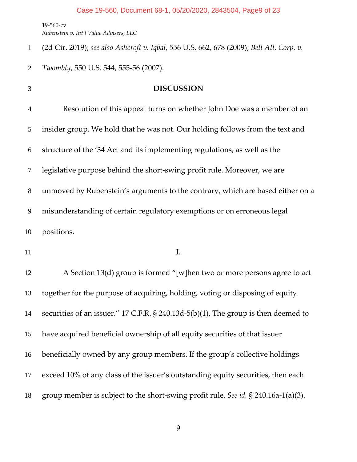(2d Cir. 2019); *see also Ashcroft v. Iqbal*, 556 U.S. 662, 678 (2009); *Bell Atl. Corp. v.* 

*Twombly*, 550 U.S. 544, 555-56 (2007).

| $\mathfrak{Z}$ | <b>DISCUSSION</b>                                                                  |
|----------------|------------------------------------------------------------------------------------|
| $\overline{4}$ | Resolution of this appeal turns on whether John Doe was a member of an             |
| 5              | insider group. We hold that he was not. Our holding follows from the text and      |
| 6              | structure of the '34 Act and its implementing regulations, as well as the          |
| 7              | legislative purpose behind the short-swing profit rule. Moreover, we are           |
| 8              | unmoved by Rubenstein's arguments to the contrary, which are based either on a     |
| 9              | misunderstanding of certain regulatory exemptions or on erroneous legal            |
| 10             | positions.                                                                         |
| 11             | I.                                                                                 |
| 12             | A Section 13(d) group is formed "[w]hen two or more persons agree to act           |
| 13             | together for the purpose of acquiring, holding, voting or disposing of equity      |
| 14             | securities of an issuer." 17 C.F.R. § 240.13d-5(b)(1). The group is then deemed to |
| 15             | have acquired beneficial ownership of all equity securities of that issuer         |
| 16             |                                                                                    |
|                | beneficially owned by any group members. If the group's collective holdings        |
| 17             | exceed 10% of any class of the issuer's outstanding equity securities, then each   |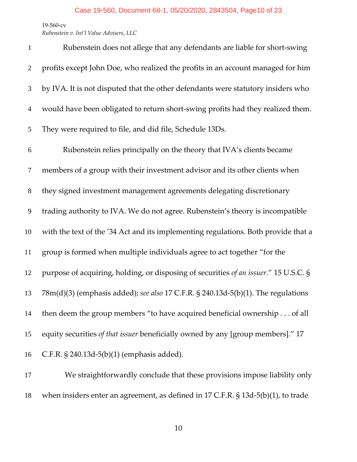*Rubenstein v. Int'l Value Advisers, LLC*

| $\mathbf{1}$   | Rubenstein does not allege that any defendants are liable for short-swing            |
|----------------|--------------------------------------------------------------------------------------|
| $\overline{2}$ | profits except John Doe, who realized the profits in an account managed for him      |
| 3              | by IVA. It is not disputed that the other defendants were statutory insiders who     |
| $\overline{4}$ | would have been obligated to return short-swing profits had they realized them.      |
| 5              | They were required to file, and did file, Schedule 13Ds.                             |
| 6              | Rubenstein relies principally on the theory that IVA's clients became                |
| 7              | members of a group with their investment advisor and its other clients when          |
| $8\,$          | they signed investment management agreements delegating discretionary                |
| 9              | trading authority to IVA. We do not agree. Rubenstein's theory is incompatible       |
| 10             | with the text of the '34 Act and its implementing regulations. Both provide that a   |
| 11             | group is formed when multiple individuals agree to act together "for the             |
| 12             | purpose of acquiring, holding, or disposing of securities of an issuer." 15 U.S.C. § |
| 13             | 78m(d)(3) (emphasis added); see also 17 C.F.R. § 240.13d-5(b)(1). The regulations    |
| 14             | then deem the group members "to have acquired beneficial ownership of all            |
| 15             | equity securities of that issuer beneficially owned by any [group members]." 17      |
| 16             | C.F.R. § 240.13d-5(b)(1) (emphasis added).                                           |
| 17             | We straightforwardly conclude that these provisions impose liability only            |

when insiders enter an agreement, as defined in 17 C.F.R. § 13d-5(b)(1), to trade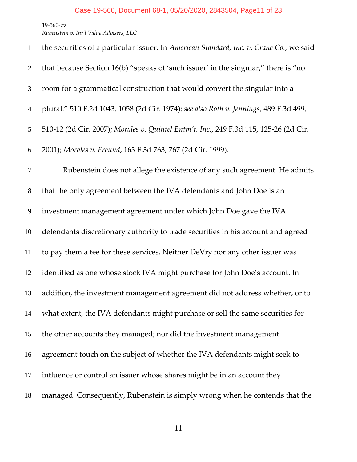*Rubenstein v. Int'l Value Advisers, LLC*

| $\mathbf{1}$   | the securities of a particular issuer. In American Standard, Inc. v. Crane Co., we said |
|----------------|-----------------------------------------------------------------------------------------|
| 2              | that because Section 16(b) "speaks of 'such issuer' in the singular," there is "no      |
| 3              | room for a grammatical construction that would convert the singular into a              |
| $\overline{4}$ | plural." 510 F.2d 1043, 1058 (2d Cir. 1974); see also Roth v. Jennings, 489 F.3d 499,   |
| 5              | 510-12 (2d Cir. 2007); Morales v. Quintel Entm't, Inc., 249 F.3d 115, 125-26 (2d Cir.   |
| 6              | 2001); Morales v. Freund, 163 F.3d 763, 767 (2d Cir. 1999).                             |
| $\tau$         | Rubenstein does not allege the existence of any such agreement. He admits               |
| $8\,$          | that the only agreement between the IVA defendants and John Doe is an                   |
| 9              | investment management agreement under which John Doe gave the IVA                       |
| 10             | defendants discretionary authority to trade securities in his account and agreed        |
| 11             | to pay them a fee for these services. Neither DeVry nor any other issuer was            |
| 12             | identified as one whose stock IVA might purchase for John Doe's account. In             |
| 13             | addition, the investment management agreement did not address whether, or to            |
| 14             | what extent, the IVA defendants might purchase or sell the same securities for          |
| 15             | the other accounts they managed; nor did the investment management                      |
| 16             | agreement touch on the subject of whether the IVA defendants might seek to              |
| 17             | influence or control an issuer whose shares might be in an account they                 |
| 18             | managed. Consequently, Rubenstein is simply wrong when he contends that the             |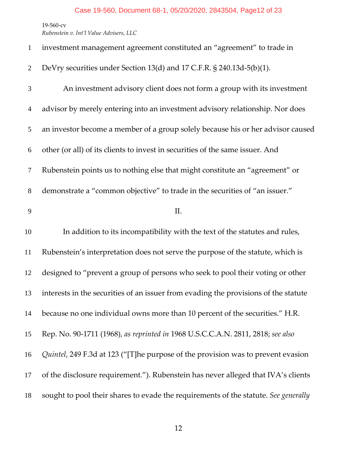## Case 19-560, Document 68-1, 05/20/2020, 2843504, Page12 of 23

19-560-cv

| $\mathbf{1}$   | investment management agreement constituted an "agreement" to trade in              |
|----------------|-------------------------------------------------------------------------------------|
| 2              | DeVry securities under Section 13(d) and 17 C.F.R. § 240.13d-5(b)(1).               |
| 3              | An investment advisory client does not form a group with its investment             |
| $\overline{4}$ | advisor by merely entering into an investment advisory relationship. Nor does       |
| 5              | an investor become a member of a group solely because his or her advisor caused     |
| 6              | other (or all) of its clients to invest in securities of the same issuer. And       |
| $\tau$         | Rubenstein points us to nothing else that might constitute an "agreement" or        |
| $8\phantom{1}$ | demonstrate a "common objective" to trade in the securities of "an issuer."         |
| 9              | II.                                                                                 |
| 10             | In addition to its incompatibility with the text of the statutes and rules,         |
| 11             | Rubenstein's interpretation does not serve the purpose of the statute, which is     |
| 12             | designed to "prevent a group of persons who seek to pool their voting or other      |
| 13             | interests in the securities of an issuer from evading the provisions of the statute |
| 14             | because no one individual owns more than 10 percent of the securities." H.R.        |
| 15             | Rep. No. 90-1711 (1968), as reprinted in 1968 U.S.C.C.A.N. 2811, 2818; see also     |
| 16             | Quintel, 249 F.3d at 123 ("[T]he purpose of the provision was to prevent evasion    |
| 17             |                                                                                     |
|                | of the disclosure requirement."). Rubenstein has never alleged that IVA's clients   |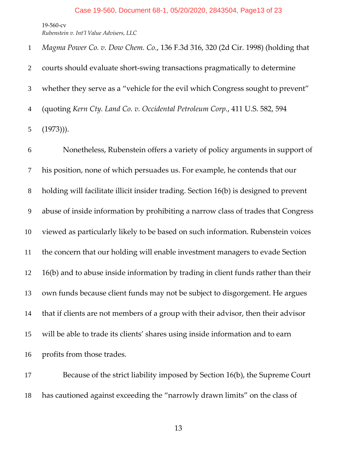*Magma Power Co. v. Dow Chem. Co.*, 136 F.3d 316, 320 (2d Cir. 1998) (holding that courts should evaluate short-swing transactions pragmatically to determine whether they serve as a "vehicle for the evil which Congress sought to prevent" (quoting *Kern Cty. Land Co. v. Occidental Petroleum Corp.*, 411 U.S. 582, 594 (1973))).

 Nonetheless, Rubenstein offers a variety of policy arguments in support of his position, none of which persuades us. For example, he contends that our holding will facilitate illicit insider trading. Section 16(b) is designed to prevent abuse of inside information by prohibiting a narrow class of trades that Congress viewed as particularly likely to be based on such information. Rubenstein voices the concern that our holding will enable investment managers to evade Section 16(b) and to abuse inside information by trading in client funds rather than their own funds because client funds may not be subject to disgorgement. He argues that if clients are not members of a group with their advisor, then their advisor will be able to trade its clients' shares using inside information and to earn profits from those trades.

17 Because of the strict liability imposed by Section 16(b), the Supreme Court has cautioned against exceeding the "narrowly drawn limits" on the class of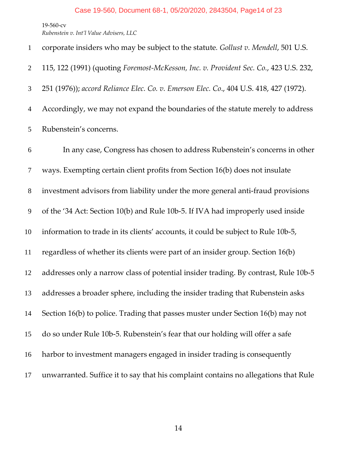corporate insiders who may be subject to the statute*. Gollust v. Mendell*, 501 U.S. 115, 122 (1991) (quoting *Foremost-McKesson, Inc. v. Provident Sec. Co.*, 423 U.S. 232, 251 (1976)); *accord Reliance Elec. Co. v. Emerson Elec. Co*., 404 U.S. 418, 427 (1972). Accordingly, we may not expand the boundaries of the statute merely to address Rubenstein's concerns. In any case, Congress has chosen to address Rubenstein's concerns in other ways. Exempting certain client profits from Section 16(b) does not insulate investment advisors from liability under the more general anti-fraud provisions of the '34 Act: Section 10(b) and Rule 10b-5. If IVA had improperly used inside information to trade in its clients' accounts, it could be subject to Rule 10b-5, regardless of whether its clients were part of an insider group. Section 16(b) addresses only a narrow class of potential insider trading. By contrast, Rule 10b-5 addresses a broader sphere, including the insider trading that Rubenstein asks Section 16(b) to police. Trading that passes muster under Section 16(b) may not do so under Rule 10b-5. Rubenstein's fear that our holding will offer a safe harbor to investment managers engaged in insider trading is consequently unwarranted. Suffice it to say that his complaint contains no allegations that Rule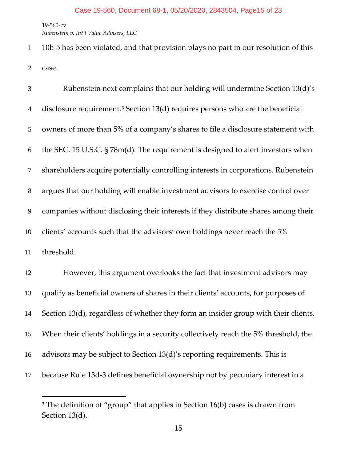*Rubenstein v. Int'l Value Advisers, LLC*

 10b-5 has been violated, and that provision plays no part in our resolution of this case.

| 3              | Rubenstein next complains that our holding will undermine Section 13(d)'s                    |
|----------------|----------------------------------------------------------------------------------------------|
| $\overline{4}$ | disclosure requirement. <sup>3</sup> Section $13(d)$ requires persons who are the beneficial |
| 5              | owners of more than 5% of a company's shares to file a disclosure statement with             |
| 6              | the SEC. 15 U.S.C. § 78m(d). The requirement is designed to alert investors when             |
| 7              | shareholders acquire potentially controlling interests in corporations. Rubenstein           |
| $8\,$          | argues that our holding will enable investment advisors to exercise control over             |
| 9              | companies without disclosing their interests if they distribute shares among their           |
| 10             | clients' accounts such that the advisors' own holdings never reach the 5%                    |
| 11             | threshold.                                                                                   |
| 12             | However, this argument overlooks the fact that investment advisors may                       |
| 13             | qualify as beneficial owners of shares in their clients' accounts, for purposes of           |
| 14             | Section 13(d), regardless of whether they form an insider group with their clients.          |
| 15             | When their clients' holdings in a security collectively reach the 5% threshold, the          |
| 16             | advisors may be subject to Section 13(d)'s reporting requirements. This is                   |
| 17             | because Rule 13d-3 defines beneficial ownership not by pecuniary interest in a               |

<span id="page-14-0"></span><sup>&</sup>lt;sup>3</sup> The definition of "group" that applies in Section 16(b) cases is drawn from Section 13(d).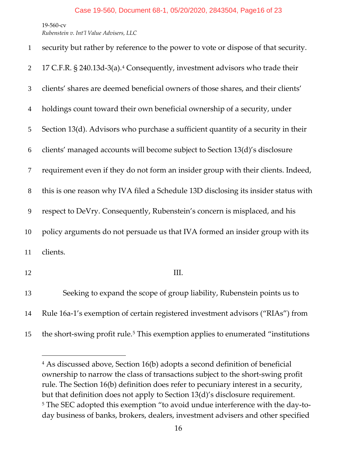*Rubenstein v. Int'l Value Advisers, LLC*

| $\mathbf{1}$   | security but rather by reference to the power to vote or dispose of that security.       |
|----------------|------------------------------------------------------------------------------------------|
| $\mathbf{2}$   | 17 C.F.R. § 240.13d-3(a). <sup>4</sup> Consequently, investment advisors who trade their |
| 3              | clients' shares are deemed beneficial owners of those shares, and their clients'         |
| $\overline{4}$ | holdings count toward their own beneficial ownership of a security, under                |
| 5              | Section 13(d). Advisors who purchase a sufficient quantity of a security in their        |
| 6              | clients' managed accounts will become subject to Section 13(d)'s disclosure              |
| $\tau$         | requirement even if they do not form an insider group with their clients. Indeed,        |
| $8\,$          | this is one reason why IVA filed a Schedule 13D disclosing its insider status with       |
| 9              | respect to DeVry. Consequently, Rubenstein's concern is misplaced, and his               |
| 10             | policy arguments do not persuade us that IVA formed an insider group with its            |
| 11             | clients.                                                                                 |
| 12             | III.                                                                                     |
| 13             | Seeking to expand the scope of group liability, Rubenstein points us to                  |
| 14             | Rule 16a-1's exemption of certain registered investment advisors ("RIAs") from           |

<span id="page-15-0"></span>[5](#page-15-1) the short-swing profit rule.<sup>5</sup> This exemption applies to enumerated "institutions"

<span id="page-15-1"></span> As discussed above, Section 16(b) adopts a second definition of beneficial ownership to narrow the class of transactions subject to the short-swing profit rule. The Section 16(b) definition does refer to pecuniary interest in a security, but that definition does not apply to Section 13(d)'s disclosure requirement. The SEC adopted this exemption "to avoid undue interference with the day-today business of banks, brokers, dealers, investment advisers and other specified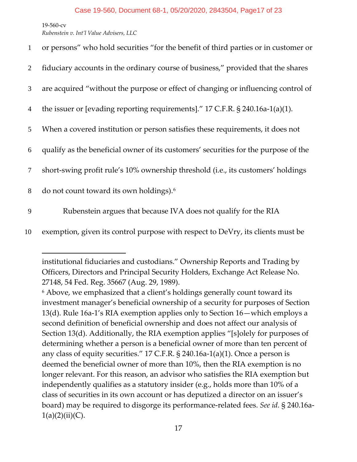*Rubenstein v. Int'l Value Advisers, LLC*

| $\mathbf{1}$    | or persons" who hold securities "for the benefit of third parties or in customer or |
|-----------------|-------------------------------------------------------------------------------------|
| $\overline{2}$  | fiduciary accounts in the ordinary course of business," provided that the shares    |
| $\mathfrak{Z}$  | are acquired "without the purpose or effect of changing or influencing control of   |
| $\overline{4}$  | the issuer or [evading reporting requirements]." 17 C.F.R. § 240.16a-1(a)(1).       |
| 5 <sup>5</sup>  | When a covered institution or person satisfies these requirements, it does not      |
| 6               | qualify as the beneficial owner of its customers' securities for the purpose of the |
| $7\phantom{.0}$ | short-swing profit rule's 10% ownership threshold (i.e., its customers' holdings    |
| 8               | do not count toward its own holdings). <sup>6</sup>                                 |
| 9               | Rubenstein argues that because IVA does not qualify for the RIA                     |

10 exemption, given its control purpose with respect to DeVry, its clients must be

institutional fiduciaries and custodians." Ownership Reports and Trading by Officers, Directors and Principal Security Holders, Exchange Act Release No. 27148, 54 Fed. Reg. 35667 (Aug. 29, 1989).

<span id="page-16-0"></span><sup>6</sup> Above, we emphasized that a client's holdings generally count toward its investment manager's beneficial ownership of a security for purposes of Section 13(d). Rule 16a-1's RIA exemption applies only to Section 16—which employs a second definition of beneficial ownership and does not affect our analysis of Section 13(d). Additionally, the RIA exemption applies "[s]olely for purposes of determining whether a person is a beneficial owner of more than ten percent of any class of equity securities." 17 C.F.R. § 240.16a-1(a)(1). Once a person is deemed the beneficial owner of more than 10%, then the RIA exemption is no longer relevant. For this reason, an advisor who satisfies the RIA exemption but independently qualifies as a statutory insider (e.g., holds more than 10% of a class of securities in its own account or has deputized a director on an issuer's board) may be required to disgorge its performance-related fees. *See id.* § 240.16a- $1(a)(2)(ii)(C)$ .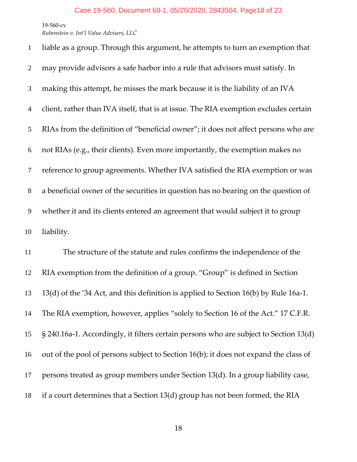*Rubenstein v. Int'l Value Advisers, LLC*

| $\mathbf{1}$   | liable as a group. Through this argument, he attempts to turn an exemption that      |
|----------------|--------------------------------------------------------------------------------------|
| $\overline{2}$ | may provide advisors a safe harbor into a rule that advisors must satisfy. In        |
| 3              | making this attempt, he misses the mark because it is the liability of an IVA        |
| $\overline{4}$ | client, rather than IVA itself, that is at issue. The RIA exemption excludes certain |
| 5              | RIAs from the definition of "beneficial owner"; it does not affect persons who are   |
| 6              | not RIAs (e.g., their clients). Even more importantly, the exemption makes no        |
| $\tau$         | reference to group agreements. Whether IVA satisfied the RIA exemption or was        |
| $8\,$          | a beneficial owner of the securities in question has no bearing on the question of   |
| 9              | whether it and its clients entered an agreement that would subject it to group       |
| 10             | liability.                                                                           |
| 11             | The structure of the statute and rules confirms the independence of the              |
| 12             | RIA exemption from the definition of a group. "Group" is defined in Section          |
| 13             | 13(d) of the '34 Act, and this definition is applied to Section 16(b) by Rule 16a-1. |
| 14             | The RIA exemption, however, applies "solely to Section 16 of the Act." 17 C.F.R.     |
|                |                                                                                      |

§ 240.16a-1. Accordingly, it filters certain persons who are subject to Section 13(d)

out of the pool of persons subject to Section 16(b); it does not expand the class of

persons treated as group members under Section 13(d). In a group liability case,

if a court determines that a Section 13(d) group has not been formed, the RIA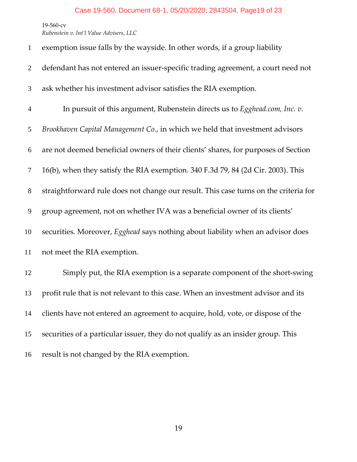*Rubenstein v. Int'l Value Advisers, LLC*

| $\mathbf{1}$   | exemption issue falls by the wayside. In other words, if a group liability           |
|----------------|--------------------------------------------------------------------------------------|
| $\overline{2}$ | defendant has not entered an issuer-specific trading agreement, a court need not     |
| 3              | ask whether his investment advisor satisfies the RIA exemption.                      |
| $\overline{4}$ | In pursuit of this argument, Rubenstein directs us to Egghead.com, Inc. v.           |
| 5              | Brookhaven Capital Management Co., in which we held that investment advisors         |
| 6              | are not deemed beneficial owners of their clients' shares, for purposes of Section   |
| $\tau$         | 16(b), when they satisfy the RIA exemption. 340 F.3d 79, 84 (2d Cir. 2003). This     |
| $8\phantom{1}$ | straightforward rule does not change our result. This case turns on the criteria for |
| 9              | group agreement, not on whether IVA was a beneficial owner of its clients'           |
| 10             | securities. Moreover, Egghead says nothing about liability when an advisor does      |
| 11             | not meet the RIA exemption.                                                          |
| 12             | Simply put, the RIA exemption is a separate component of the short-swing             |
| 13             | profit rule that is not relevant to this case. When an investment advisor and its    |
| 14             | clients have not entered an agreement to acquire, hold, vote, or dispose of the      |
| 15             | securities of a particular issuer, they do not qualify as an insider group. This     |
| 16             | result is not changed by the RIA exemption.                                          |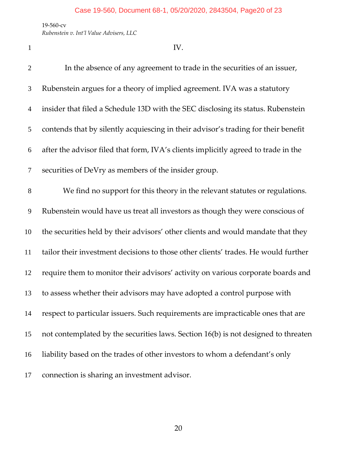*Rubenstein v. Int'l Value Advisers, LLC*

 $1 \qquad \qquad IV.$ 

 In the absence of any agreement to trade in the securities of an issuer, Rubenstein argues for a theory of implied agreement. IVA was a statutory insider that filed a Schedule 13D with the SEC disclosing its status. Rubenstein contends that by silently acquiescing in their advisor's trading for their benefit after the advisor filed that form, IVA's clients implicitly agreed to trade in the securities of DeVry as members of the insider group. We find no support for this theory in the relevant statutes or regulations. Rubenstein would have us treat all investors as though they were conscious of the securities held by their advisors' other clients and would mandate that they tailor their investment decisions to those other clients' trades. He would further require them to monitor their advisors' activity on various corporate boards and to assess whether their advisors may have adopted a control purpose with respect to particular issuers. Such requirements are impracticable ones that are not contemplated by the securities laws. Section 16(b) is not designed to threaten liability based on the trades of other investors to whom a defendant's only connection is sharing an investment advisor.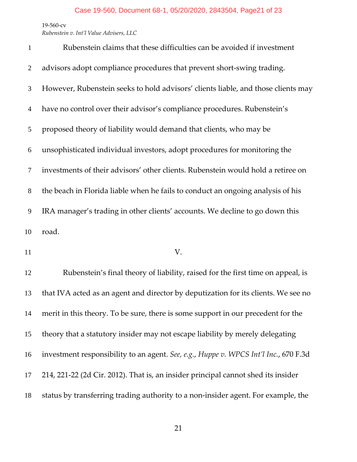*Rubenstein v. Int'l Value Advisers, LLC*

| $\mathbf{1}$   | Rubenstein claims that these difficulties can be avoided if investment            |
|----------------|-----------------------------------------------------------------------------------|
| 2              | advisors adopt compliance procedures that prevent short-swing trading.            |
| 3              | However, Rubenstein seeks to hold advisors' clients liable, and those clients may |
| $\overline{4}$ | have no control over their advisor's compliance procedures. Rubenstein's          |
| 5              | proposed theory of liability would demand that clients, who may be                |
| 6              | unsophisticated individual investors, adopt procedures for monitoring the         |
| $\overline{7}$ | investments of their advisors' other clients. Rubenstein would hold a retiree on  |
| 8              | the beach in Florida liable when he fails to conduct an ongoing analysis of his   |
| 9              | IRA manager's trading in other clients' accounts. We decline to go down this      |
| 10             | road.                                                                             |

11 V.

 Rubenstein's final theory of liability, raised for the first time on appeal, is that IVA acted as an agent and director by deputization for its clients. We see no merit in this theory. To be sure, there is some support in our precedent for the theory that a statutory insider may not escape liability by merely delegating investment responsibility to an agent. *See, e.g.*, *Huppe v. WPCS Int'l Inc.*, 670 F.3d 214, 221-22 (2d Cir. 2012). That is, an insider principal cannot shed its insider status by transferring trading authority to a non-insider agent. For example, the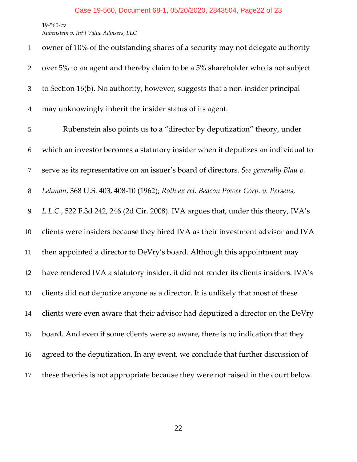*Rubenstein v. Int'l Value Advisers, LLC*

| $\mathbf{1}$   | owner of 10% of the outstanding shares of a security may not delegate authority      |
|----------------|--------------------------------------------------------------------------------------|
| $\overline{2}$ | over 5% to an agent and thereby claim to be a 5% shareholder who is not subject      |
| 3              | to Section 16(b). No authority, however, suggests that a non-insider principal       |
| $\overline{4}$ | may unknowingly inherit the insider status of its agent.                             |
| 5              | Rubenstein also points us to a "director by deputization" theory, under              |
| 6              | which an investor becomes a statutory insider when it deputizes an individual to     |
| 7              | serve as its representative on an issuer's board of directors. See generally Blau v. |
| 8              | Lehman, 368 U.S. 403, 408-10 (1962); Roth ex rel. Beacon Power Corp. v. Perseus,     |
| 9              | L.L.C., 522 F.3d 242, 246 (2d Cir. 2008). IVA argues that, under this theory, IVA's  |
| 10             | clients were insiders because they hired IVA as their investment advisor and IVA     |
| 11             | then appointed a director to DeVry's board. Although this appointment may            |
| 12             | have rendered IVA a statutory insider, it did not render its clients insiders. IVA's |
| 13             | clients did not deputize anyone as a director. It is unlikely that most of these     |
| 14             | clients were even aware that their advisor had deputized a director on the DeVry     |
| 15             | board. And even if some clients were so aware, there is no indication that they      |
| 16             | agreed to the deputization. In any event, we conclude that further discussion of     |
| 17             | these theories is not appropriate because they were not raised in the court below.   |